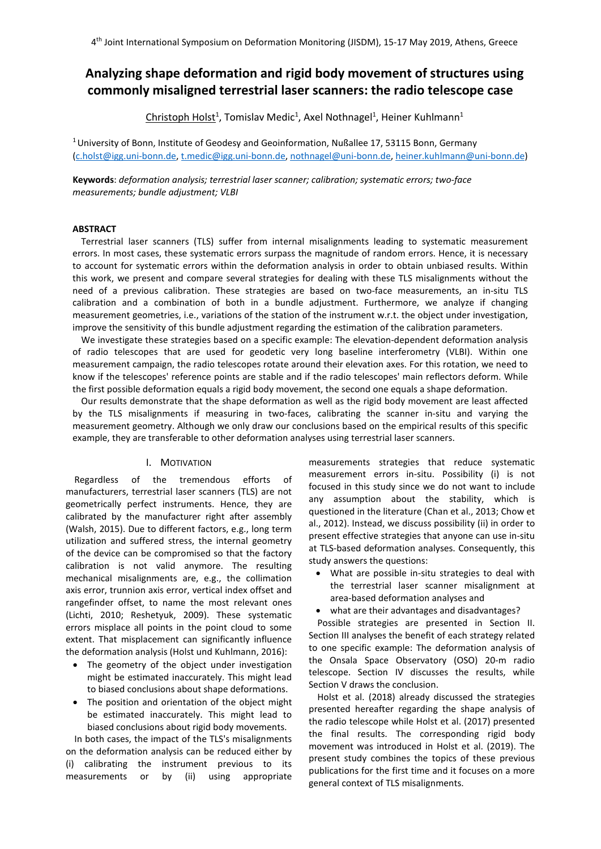# **Analyzing shape deformation and rigid body movement of structures using commonly misaligned terrestrial laser scanners: the radio telescope case**

Christoph Holst<sup>1</sup>, Tomislav Medic<sup>1</sup>, Axel Nothnagel<sup>1</sup>, Heiner Kuhlmann<sup>1</sup>

<sup>1</sup> University of Bonn, Institute of Geodesy and Geoinformation, Nußallee 17, 53115 Bonn, Germany [\(c.holst@igg.uni-bonn.de,](mailto:c.holst@igg.uni-bonn.de) [t.medic@igg.uni-bonn.de,](mailto:t.medic@igg.uni-bonn.de) [nothnagel@uni-bonn.de,](mailto:nothnagel@uni-bonn.de) [heiner.kuhlmann@uni-bonn.de\)](mailto:heiner.kuhlmann@uni-bonn.de)

**Keywords**: *deformation analysis; terrestrial laser scanner; calibration; systematic errors; two-face measurements; bundle adjustment; VLBI*

# **ABSTRACT**

Terrestrial laser scanners (TLS) suffer from internal misalignments leading to systematic measurement errors. In most cases, these systematic errors surpass the magnitude of random errors. Hence, it is necessary to account for systematic errors within the deformation analysis in order to obtain unbiased results. Within this work, we present and compare several strategies for dealing with these TLS misalignments without the need of a previous calibration. These strategies are based on two-face measurements, an in-situ TLS calibration and a combination of both in a bundle adjustment. Furthermore, we analyze if changing measurement geometries, i.e., variations of the station of the instrument w.r.t. the object under investigation, improve the sensitivity of this bundle adjustment regarding the estimation of the calibration parameters.

We investigate these strategies based on a specific example: The elevation-dependent deformation analysis of radio telescopes that are used for geodetic very long baseline interferometry (VLBI). Within one measurement campaign, the radio telescopes rotate around their elevation axes. For this rotation, we need to know if the telescopes' reference points are stable and if the radio telescopes' main reflectors deform. While the first possible deformation equals a rigid body movement, the second one equals a shape deformation.

Our results demonstrate that the shape deformation as well as the rigid body movement are least affected by the TLS misalignments if measuring in two-faces, calibrating the scanner in-situ and varying the measurement geometry. Although we only draw our conclusions based on the empirical results of this specific example, they are transferable to other deformation analyses using terrestrial laser scanners.

# I. MOTIVATION

Regardless of the tremendous efforts of manufacturers, terrestrial laser scanners (TLS) are not geometrically perfect instruments. Hence, they are calibrated by the manufacturer right after assembly (Walsh, 2015). Due to different factors, e.g., long term utilization and suffered stress, the internal geometry of the device can be compromised so that the factory calibration is not valid anymore. The resulting mechanical misalignments are, e.g., the collimation axis error, trunnion axis error, vertical index offset and rangefinder offset, to name the most relevant ones (Lichti, 2010; Reshetyuk, 2009). These systematic errors misplace all points in the point cloud to some extent. That misplacement can significantly influence the deformation analysis (Holst und Kuhlmann, 2016):

- The geometry of the object under investigation might be estimated inaccurately. This might lead to biased conclusions about shape deformations.
- The position and orientation of the object might be estimated inaccurately. This might lead to biased conclusions about rigid body movements.

In both cases, the impact of the TLS's misalignments on the deformation analysis can be reduced either by (i) calibrating the instrument previous to its measurements or by (ii) using appropriate measurements strategies that reduce systematic measurement errors in-situ. Possibility (i) is not focused in this study since we do not want to include any assumption about the stability, which is questioned in the literature (Chan et al., 2013; Chow et al., 2012). Instead, we discuss possibility (ii) in order to present effective strategies that anyone can use in-situ at TLS-based deformation analyses. Consequently, this study answers the questions:

- What are possible in-situ strategies to deal with the terrestrial laser scanner misalignment at area-based deformation analyses and
- what are their advantages and disadvantages?

Possible strategies are presented in Section II. Section III analyses the benefit of each strategy related to one specific example: The deformation analysis of the Onsala Space Observatory (OSO) 20-m radio telescope. Section IV discusses the results, while Section V draws the conclusion.

Holst et al. (2018) already discussed the strategies presented hereafter regarding the shape analysis of the radio telescope while Holst et al. (2017) presented the final results. The corresponding rigid body movement was introduced in Holst et al. (2019). The present study combines the topics of these previous publications for the first time and it focuses on a more general context of TLS misalignments.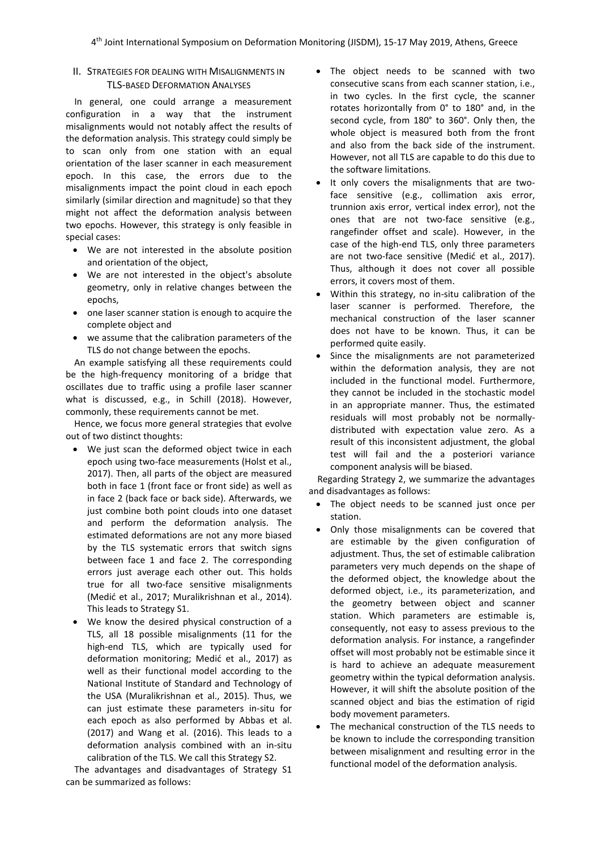# II. STRATEGIES FOR DEALING WITH MISALIGNMENTS IN TLS-BASED DEFORMATION ANALYSES

In general, one could arrange a measurement configuration in a way that the instrument misalignments would not notably affect the results of the deformation analysis. This strategy could simply be to scan only from one station with an equal orientation of the laser scanner in each measurement epoch. In this case, the errors due to the misalignments impact the point cloud in each epoch similarly (similar direction and magnitude) so that they might not affect the deformation analysis between two epochs. However, this strategy is only feasible in special cases:

- We are not interested in the absolute position and orientation of the object,
- We are not interested in the object's absolute geometry, only in relative changes between the epochs,
- one laser scanner station is enough to acquire the complete object and
- we assume that the calibration parameters of the TLS do not change between the epochs.

An example satisfying all these requirements could be the high-frequency monitoring of a bridge that oscillates due to traffic using a profile laser scanner what is discussed, e.g., in Schill (2018). However, commonly, these requirements cannot be met.

Hence, we focus more general strategies that evolve out of two distinct thoughts:

- We just scan the deformed object twice in each epoch using two-face measurements (Holst et al., 2017). Then, all parts of the object are measured both in face 1 (front face or front side) as well as in face 2 (back face or back side). Afterwards, we just combine both point clouds into one dataset and perform the deformation analysis. The estimated deformations are not any more biased by the TLS systematic errors that switch signs between face 1 and face 2. The corresponding errors just average each other out. This holds true for all two-face sensitive misalignments (Medić et al., 2017; Muralikrishnan et al., 2014). This leads to Strategy S1.
- We know the desired physical construction of a TLS, all 18 possible misalignments (11 for the high-end TLS, which are typically used for deformation monitoring; Medić et al., 2017) as well as their functional model according to the National Institute of Standard and Technology of the USA (Muralikrishnan et al., 2015). Thus, we can just estimate these parameters in-situ for each epoch as also performed by Abbas et al. (2017) and Wang et al. (2016). This leads to a deformation analysis combined with an in-situ calibration of the TLS. We call this Strategy S2.

The advantages and disadvantages of Strategy S1 can be summarized as follows:

- The object needs to be scanned with two consecutive scans from each scanner station, i.e., in two cycles. In the first cycle, the scanner rotates horizontally from 0° to 180° and, in the second cycle, from 180° to 360°. Only then, the whole object is measured both from the front and also from the back side of the instrument. However, not all TLS are capable to do this due to the software limitations.
- It only covers the misalignments that are twoface sensitive (e.g., collimation axis error, trunnion axis error, vertical index error), not the ones that are not two-face sensitive (e.g., rangefinder offset and scale). However, in the case of the high-end TLS, only three parameters are not two-face sensitive (Medić et al., 2017). Thus, although it does not cover all possible errors, it covers most of them.
- Within this strategy, no in-situ calibration of the laser scanner is performed. Therefore, the mechanical construction of the laser scanner does not have to be known. Thus, it can be performed quite easily.
- Since the misalignments are not parameterized within the deformation analysis, they are not included in the functional model. Furthermore, they cannot be included in the stochastic model in an appropriate manner. Thus, the estimated residuals will most probably not be normallydistributed with expectation value zero. As a result of this inconsistent adjustment, the global test will fail and the a posteriori variance component analysis will be biased.

Regarding Strategy 2, we summarize the advantages and disadvantages as follows:

- The object needs to be scanned just once per station.
- Only those misalignments can be covered that are estimable by the given configuration of adjustment. Thus, the set of estimable calibration parameters very much depends on the shape of the deformed object, the knowledge about the deformed object, i.e., its parameterization, and the geometry between object and scanner station. Which parameters are estimable is, consequently, not easy to assess previous to the deformation analysis. For instance, a rangefinder offset will most probably not be estimable since it is hard to achieve an adequate measurement geometry within the typical deformation analysis. However, it will shift the absolute position of the scanned object and bias the estimation of rigid body movement parameters.
- The mechanical construction of the TLS needs to be known to include the corresponding transition between misalignment and resulting error in the functional model of the deformation analysis.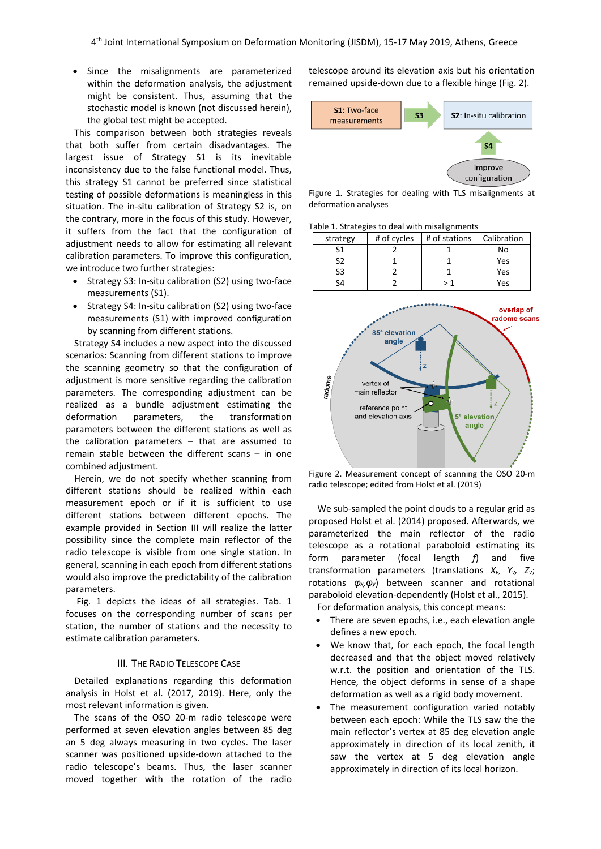Since the misalignments are parameterized within the deformation analysis, the adjustment might be consistent. Thus, assuming that the stochastic model is known (not discussed herein), the global test might be accepted.

This comparison between both strategies reveals that both suffer from certain disadvantages. The largest issue of Strategy S1 is its inevitable inconsistency due to the false functional model. Thus, this strategy S1 cannot be preferred since statistical testing of possible deformations is meaningless in this situation. The in-situ calibration of Strategy S2 is, on the contrary, more in the focus of this study. However, it suffers from the fact that the configuration of adjustment needs to allow for estimating all relevant calibration parameters. To improve this configuration, we introduce two further strategies:

- Strategy S3: In-situ calibration (S2) using two-face measurements (S1).
- Strategy S4: In-situ calibration (S2) using two-face measurements (S1) with improved configuration by scanning from different stations.

Strategy S4 includes a new aspect into the discussed scenarios: Scanning from different stations to improve the scanning geometry so that the configuration of adjustment is more sensitive regarding the calibration parameters. The corresponding adjustment can be realized as a bundle adjustment estimating the deformation parameters, the transformation parameters between the different stations as well as the calibration parameters – that are assumed to remain stable between the different scans – in one combined adjustment.

Herein, we do not specify whether scanning from different stations should be realized within each measurement epoch or if it is sufficient to use different stations between different epochs. The example provided in Section III will realize the latter possibility since the complete main reflector of the radio telescope is visible from one single station. In general, scanning in each epoch from different stations would also improve the predictability of the calibration parameters.

Fig. 1 depicts the ideas of all strategies. Tab. 1 focuses on the corresponding number of scans per station, the number of stations and the necessity to estimate calibration parameters.

#### III. THE RADIO TELESCOPE CASE

Detailed explanations regarding this deformation analysis in Holst et al. (2017, 2019). Here, only the most relevant information is given.

The scans of the OSO 20-m radio telescope were performed at seven elevation angles between 85 deg an 5 deg always measuring in two cycles. The laser scanner was positioned upside-down attached to the radio telescope's beams. Thus, the laser scanner moved together with the rotation of the radio telescope around its elevation axis but his orientation remained upside-down due to a flexible hinge (Fig. 2).



Figure 1. Strategies for dealing with TLS misalignments at deformation analyses

Table 1. Strategies to deal with misalignments





Figure 2. Measurement concept of scanning the OSO 20-m radio telescope; edited from Holst et al. (2019)

We sub-sampled the point clouds to a regular grid as proposed Holst et al. (2014) proposed. Afterwards, we parameterized the main reflector of the radio telescope as a rotational paraboloid estimating its form parameter (focal length *f*) and five transformation parameters (translations *Xv, Yv, Zv*; rotations *φx,φy*) between scanner and rotational paraboloid elevation-dependently (Holst et al., 2015).

For deformation analysis, this concept means:

- There are seven epochs, i.e., each elevation angle defines a new epoch.
- We know that, for each epoch, the focal length decreased and that the object moved relatively w.r.t. the position and orientation of the TLS. Hence, the object deforms in sense of a shape deformation as well as a rigid body movement.
- The measurement configuration varied notably between each epoch: While the TLS saw the the main reflector's vertex at 85 deg elevation angle approximately in direction of its local zenith, it saw the vertex at 5 deg elevation angle approximately in direction of its local horizon.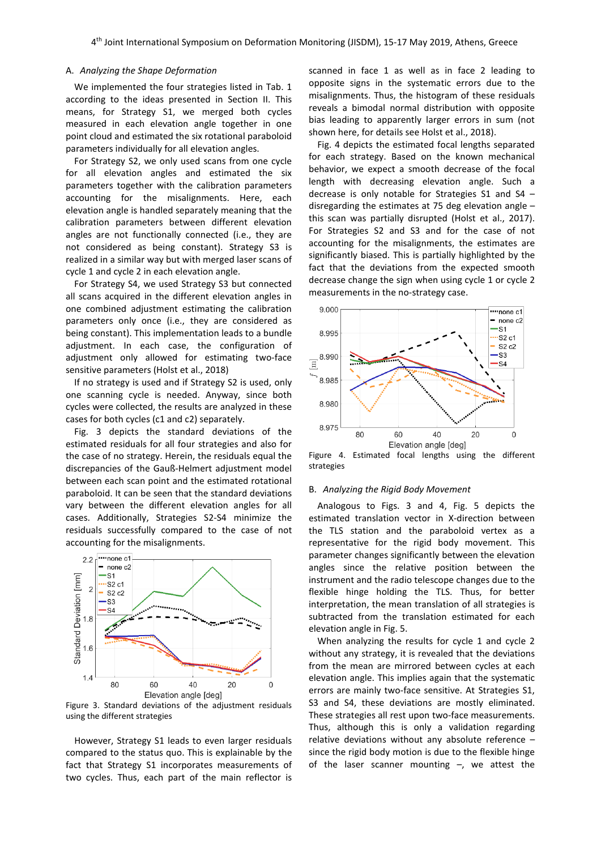### A. *Analyzing the Shape Deformation*

We implemented the four strategies listed in Tab. 1 according to the ideas presented in Section II. This means, for Strategy S1, we merged both cycles measured in each elevation angle together in one point cloud and estimated the six rotational paraboloid parameters individually for all elevation angles.

For Strategy S2, we only used scans from one cycle for all elevation angles and estimated the six parameters together with the calibration parameters accounting for the misalignments. Here, each elevation angle is handled separately meaning that the calibration parameters between different elevation angles are not functionally connected (i.e., they are not considered as being constant). Strategy S3 is realized in a similar way but with merged laser scans of cycle 1 and cycle 2 in each elevation angle.

For Strategy S4, we used Strategy S3 but connected all scans acquired in the different elevation angles in one combined adjustment estimating the calibration parameters only once (i.e., they are considered as being constant). This implementation leads to a bundle adjustment. In each case, the configuration of adjustment only allowed for estimating two-face sensitive parameters (Holst et al., 2018)

If no strategy is used and if Strategy S2 is used, only one scanning cycle is needed. Anyway, since both cycles were collected, the results are analyzed in these cases for both cycles (c1 and c2) separately.

Fig. 3 depicts the standard deviations of the estimated residuals for all four strategies and also for the case of no strategy. Herein, the residuals equal the discrepancies of the Gauß-Helmert adjustment model between each scan point and the estimated rotational paraboloid. It can be seen that the standard deviations vary between the different elevation angles for all cases. Additionally, Strategies S2-S4 minimize the residuals successfully compared to the case of not accounting for the misalignments.



Figure 3. Standard deviations of the adjustment residuals using the different strategies

However, Strategy S1 leads to even larger residuals compared to the status quo. This is explainable by the fact that Strategy S1 incorporates measurements of two cycles. Thus, each part of the main reflector is

scanned in face 1 as well as in face 2 leading to opposite signs in the systematic errors due to the misalignments. Thus, the histogram of these residuals reveals a bimodal normal distribution with opposite bias leading to apparently larger errors in sum (not shown here, for details see Holst et al., 2018).

Fig. 4 depicts the estimated focal lengths separated for each strategy. Based on the known mechanical behavior, we expect a smooth decrease of the focal length with decreasing elevation angle. Such a decrease is only notable for Strategies S1 and S4 – disregarding the estimates at 75 deg elevation angle – this scan was partially disrupted (Holst et al., 2017). For Strategies S2 and S3 and for the case of not accounting for the misalignments, the estimates are significantly biased. This is partially highlighted by the fact that the deviations from the expected smooth decrease change the sign when using cycle 1 or cycle 2 measurements in the no-strategy case.



Figure 4. Estimated focal lengths using the different strategies

# B. *Analyzing the Rigid Body Movement*

Analogous to Figs. 3 and 4, Fig. 5 depicts the estimated translation vector in X-direction between the TLS station and the paraboloid vertex as a representative for the rigid body movement. This parameter changes significantly between the elevation angles since the relative position between the instrument and the radio telescope changes due to the flexible hinge holding the TLS. Thus, for better interpretation, the mean translation of all strategies is subtracted from the translation estimated for each elevation angle in Fig. 5.

When analyzing the results for cycle 1 and cycle 2 without any strategy, it is revealed that the deviations from the mean are mirrored between cycles at each elevation angle. This implies again that the systematic errors are mainly two-face sensitive. At Strategies S1, S3 and S4, these deviations are mostly eliminated. These strategies all rest upon two-face measurements. Thus, although this is only a validation regarding relative deviations without any absolute reference – since the rigid body motion is due to the flexible hinge of the laser scanner mounting  $-$ , we attest the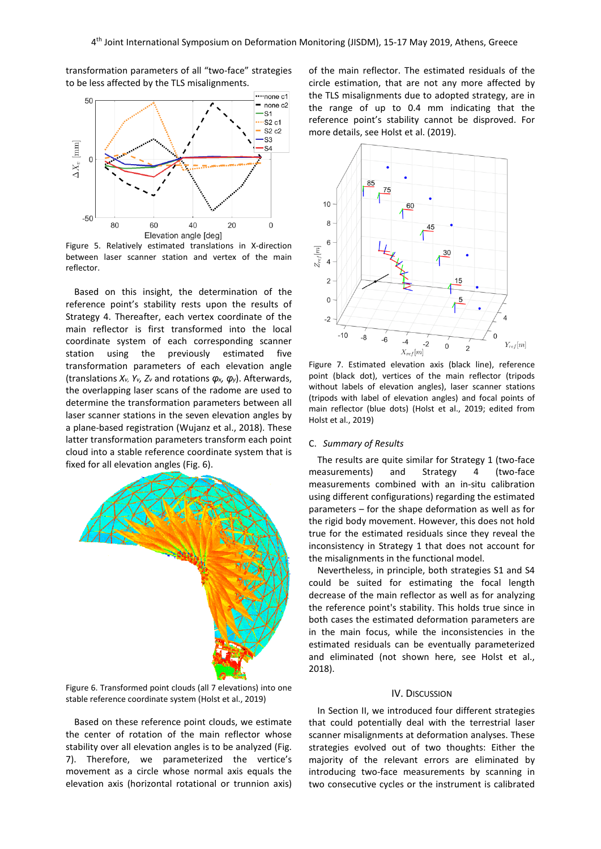····none c1 50  $-$  none c2 ·S1  $\overline{\text{S2}}$  c1  $S2c2$ ·S3  $\Delta X_v$  [mm]  $S<sub>4</sub>$  $\mathcal{C}$  $-50$  $40$ 80 60 20  $\Omega$ Elevation angle [deg]

transformation parameters of all "two-face" strategies to be less affected by the TLS misalignments.

Figure 5. Relatively estimated translations in X-direction between laser scanner station and vertex of the main reflector.

Based on this insight, the determination of the reference point's stability rests upon the results of Strategy 4. Thereafter, each vertex coordinate of the main reflector is first transformed into the local coordinate system of each corresponding scanner station using the previously estimated five transformation parameters of each elevation angle (translations *Xv, Yv, Zv* and rotations *φx, φy*). Afterwards, the overlapping laser scans of the radome are used to determine the transformation parameters between all laser scanner stations in the seven elevation angles by a plane-based registration (Wujanz et al., 2018). These latter transformation parameters transform each point cloud into a stable reference coordinate system that is fixed for all elevation angles (Fig. 6).





Based on these reference point clouds, we estimate the center of rotation of the main reflector whose stability over all elevation angles is to be analyzed (Fig. 7). Therefore, we parameterized the vertice's movement as a circle whose normal axis equals the elevation axis (horizontal rotational or trunnion axis) of the main reflector. The estimated residuals of the circle estimation, that are not any more affected by the TLS misalignments due to adopted strategy, are in the range of up to 0.4 mm indicating that the reference point's stability cannot be disproved. For more details, see Holst et al. (2019).



Figure 7. Estimated elevation axis (black line), reference point (black dot), vertices of the main reflector (tripods without labels of elevation angles), laser scanner stations (tripods with label of elevation angles) and focal points of main reflector (blue dots) (Holst et al., 2019; edited from Holst et al., 2019)

#### C. *Summary of Results*

The results are quite similar for Strategy 1 (two-face measurements) and Strategy 4 (two-face measurements combined with an in-situ calibration using different configurations) regarding the estimated parameters – for the shape deformation as well as for the rigid body movement. However, this does not hold true for the estimated residuals since they reveal the inconsistency in Strategy 1 that does not account for the misalignments in the functional model.

Nevertheless, in principle, both strategies S1 and S4 could be suited for estimating the focal length decrease of the main reflector as well as for analyzing the reference point's stability. This holds true since in both cases the estimated deformation parameters are in the main focus, while the inconsistencies in the estimated residuals can be eventually parameterized and eliminated (not shown here, see Holst et al., 2018).

# IV. DISCUSSION

In Section II, we introduced four different strategies that could potentially deal with the terrestrial laser scanner misalignments at deformation analyses. These strategies evolved out of two thoughts: Either the majority of the relevant errors are eliminated by introducing two-face measurements by scanning in two consecutive cycles or the instrument is calibrated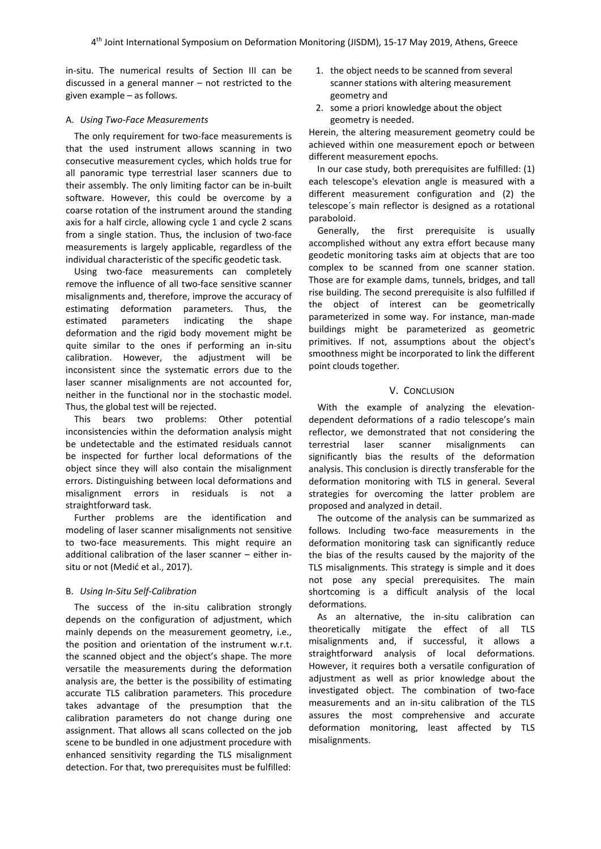in-situ. The numerical results of Section III can be discussed in a general manner – not restricted to the given example – as follows.

# A. *Using Two-Face Measurements*

The only requirement for two-face measurements is that the used instrument allows scanning in two consecutive measurement cycles, which holds true for all panoramic type terrestrial laser scanners due to their assembly. The only limiting factor can be in-built software. However, this could be overcome by a coarse rotation of the instrument around the standing axis for a half circle, allowing cycle 1 and cycle 2 scans from a single station. Thus, the inclusion of two-face measurements is largely applicable, regardless of the individual characteristic of the specific geodetic task.

Using two-face measurements can completely remove the influence of all two-face sensitive scanner misalignments and, therefore, improve the accuracy of estimating deformation parameters. Thus, the estimated parameters indicating the shape deformation and the rigid body movement might be quite similar to the ones if performing an in-situ calibration. However, the adjustment will be inconsistent since the systematic errors due to the laser scanner misalignments are not accounted for, neither in the functional nor in the stochastic model. Thus, the global test will be rejected.

This bears two problems: Other potential inconsistencies within the deformation analysis might be undetectable and the estimated residuals cannot be inspected for further local deformations of the object since they will also contain the misalignment errors. Distinguishing between local deformations and misalignment errors in residuals is not a straightforward task.

Further problems are the identification and modeling of laser scanner misalignments not sensitive to two-face measurements. This might require an additional calibration of the laser scanner – either insitu or not (Medić et al., 2017).

# B. *Using In-Situ Self-Calibration*

The success of the in-situ calibration strongly depends on the configuration of adjustment, which mainly depends on the measurement geometry, i.e., the position and orientation of the instrument w.r.t. the scanned object and the object's shape. The more versatile the measurements during the deformation analysis are, the better is the possibility of estimating accurate TLS calibration parameters. This procedure takes advantage of the presumption that the calibration parameters do not change during one assignment. That allows all scans collected on the job scene to be bundled in one adjustment procedure with enhanced sensitivity regarding the TLS misalignment detection. For that, two prerequisites must be fulfilled:

- 1. the object needs to be scanned from several scanner stations with altering measurement geometry and
- 2. some a priori knowledge about the object geometry is needed.

Herein, the altering measurement geometry could be achieved within one measurement epoch or between different measurement epochs.

In our case study, both prerequisites are fulfilled: (1) each telescope's elevation angle is measured with a different measurement configuration and (2) the telescope´s main reflector is designed as a rotational paraboloid.

Generally, the first prerequisite is usually accomplished without any extra effort because many geodetic monitoring tasks aim at objects that are too complex to be scanned from one scanner station. Those are for example dams, tunnels, bridges, and tall rise building. The second prerequisite is also fulfilled if the object of interest can be geometrically parameterized in some way. For instance, man-made buildings might be parameterized as geometric primitives. If not, assumptions about the object's smoothness might be incorporated to link the different point clouds together.

# V. CONCLUSION

With the example of analyzing the elevationdependent deformations of a radio telescope's main reflector, we demonstrated that not considering the terrestrial laser scanner misalignments can significantly bias the results of the deformation analysis. This conclusion is directly transferable for the deformation monitoring with TLS in general. Several strategies for overcoming the latter problem are proposed and analyzed in detail.

The outcome of the analysis can be summarized as follows. Including two-face measurements in the deformation monitoring task can significantly reduce the bias of the results caused by the majority of the TLS misalignments. This strategy is simple and it does not pose any special prerequisites. The main shortcoming is a difficult analysis of the local deformations.

As an alternative, the in-situ calibration can theoretically mitigate the effect of all TLS misalignments and, if successful, it allows a straightforward analysis of local deformations. However, it requires both a versatile configuration of adjustment as well as prior knowledge about the investigated object. The combination of two-face measurements and an in-situ calibration of the TLS assures the most comprehensive and accurate deformation monitoring, least affected by TLS misalignments.